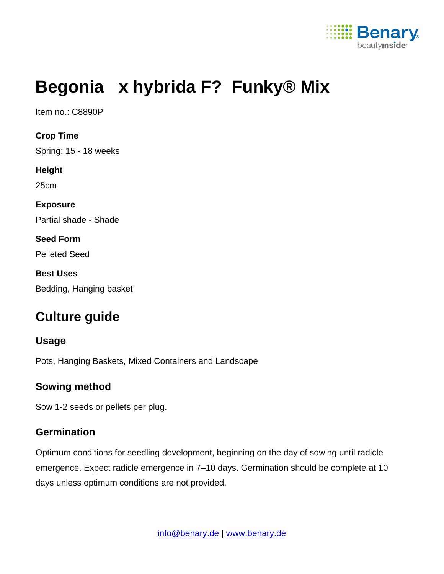

# Begonia x hybrida F? Funky® Mix

Item no.: C8890P

Crop Time Spring: 15 - 18 weeks Height 25cm Exposure Partial shade - Shade Seed Form Pelleted Seed Best Uses Bedding, Hanging basket

# Culture guide

#### Usage

Pots, Hanging Baskets, Mixed Containers and Landscape

#### Sowing method

Sow 1-2 seeds or pellets per plug.

#### **Germination**

Optimum conditions for seedling development, beginning on the day of sowing until radicle emergence. Expect radicle emergence in 7–10 days. Germination should be complete at 10 days unless optimum conditions are not provided.